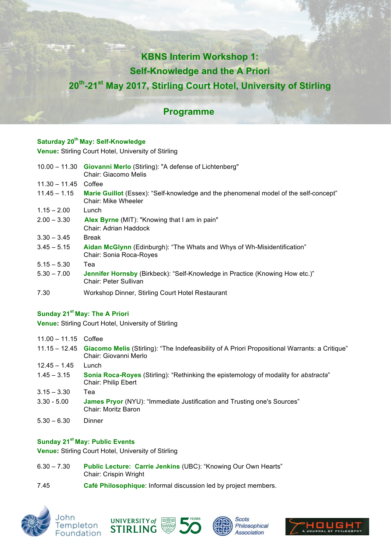# **KBNS Interim Workshop 1:**

# **Self-Knowledge and the A Priori**

# **20th-21st May 2017, Stirling Court Hotel, University of Stirling**

### **Programme**

### **Saturday 20th May: Self-Knowledge**

**Venue:** Stirling Court Hotel, University of Stirling

|                 | 10.00 - 11.30 Giovanni Merlo (Stirling): "A defense of Lichtenberg"<br>Chair: Giacomo Melis                         |
|-----------------|---------------------------------------------------------------------------------------------------------------------|
| $11.30 - 11.45$ | Coffee                                                                                                              |
| $11.45 - 1.15$  | Marie Guillot (Essex): "Self-knowledge and the phenomenal model of the self-concept"<br>Chair: Mike Wheeler         |
| $1.15 - 2.00$   | Lunch                                                                                                               |
| $2.00 - 3.30$   | Alex Byrne (MIT): "Knowing that I am in pain"<br>Chair: Adrian Haddock                                              |
| $3.30 - 3.45$   | <b>Break</b>                                                                                                        |
| $3.45 - 5.15$   | Aidan McGlynn (Edinburgh): "The Whats and Whys of Wh-Misidentification"<br>Chair: Sonia Roca-Royes                  |
| $5.15 - 5.30$   | Теа                                                                                                                 |
| $5.30 - 7.00$   | <b>Jennifer Hornsby</b> (Birkbeck): "Self-Knowledge in Practice (Knowing How etc.)"<br><b>Chair: Peter Sullivan</b> |
| 7.30            | Workshop Dinner, Stirling Court Hotel Restaurant                                                                    |

#### **Sunday 21st May: The A Priori**

**Venue:** Stirling Court Hotel, University of Stirling

| $11.00 - 11.15$ Coffee |                                                                                                                                       |
|------------------------|---------------------------------------------------------------------------------------------------------------------------------------|
|                        | 11.15 - 12.45 Giacomo Melis (Stirling): "The Indefeasibility of A Priori Propositional Warrants: a Critique"<br>Chair: Giovanni Merlo |
| $12.45 - 1.45$         | Lunch                                                                                                                                 |
| $1.45 - 3.15$          | <b>Sonia Roca-Royes</b> (Stirling): "Rethinking the epistemology of modality for abstracta"<br>Chair: Philip Ebert                    |
| $3.15 - 3.30$          | Теа                                                                                                                                   |
| $3.30 - 5.00$          | <b>James Pryor</b> (NYU): "Immediate Justification and Trusting one's Sources"<br>Chair: Moritz Baron                                 |
| $5.30 - 6.30$          | Dinner                                                                                                                                |

#### **Sunday 21st May: Public Events**

**Venue:** Stirling Court Hotel, University of Stirling

- 6.30 7.30 **Public Lecture: Carrie Jenkins** (UBC): "Knowing Our Own Hearts" Chair: Crispin Wright
- 7.45 **Café Philosophique**: Informal discussion led by project members.









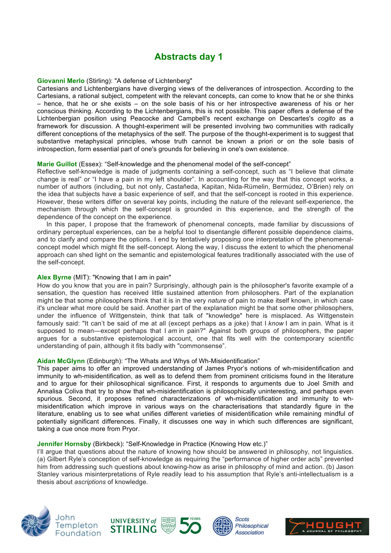## **Abstracts day 1**

#### **Giovanni Merlo** (Stirling): "A defense of Lichtenberg"

Cartesians and Lichtenbergians have diverging views of the deliverances of introspection. According to the Cartesians, a rational subject, competent with the relevant concepts, can come to know that he or she thinks – hence, that he or she exists – on the sole basis of his or her introspective awareness of his or her conscious thinking. According to the Lichtenbergians, this is not possible. This paper offers a defense of the Lichtenbergian position using Peacocke and Campbell's recent exchange on Descartes's *cogito* as a framework for discussion. A thought-experiment will be presented involving two communities with radically different conceptions of the metaphysics of the self. The purpose of the thought-experiment is to suggest that substantive metaphysical principles, whose truth cannot be known a priori or on the sole basis of introspection, form essential part of one's grounds for believing in one's own existence.

#### **Marie Guillot** (Essex): "Self-knowledge and the phenomenal model of the self-concept"

Reflective self-knowledge is made of judgments containing a self-concept, such as "I believe that climate change is real" or "I have a pain in my left shoulder". In accounting for the way that this concept works, a number of authors (including, but not only, Castañeda, Kapitan, Nida-Rümelin, Bermúdez, O'Brien) rely on the idea that subjects have a basic experience of self, and that the self-concept is rooted in this experience. However, these writers differ on several key points, including the nature of the relevant self-experience, the mechanism through which the self-concept is grounded in this experience, and the strength of the dependence of the concept on the experience.

In this paper, I propose that the framework of phenomenal concepts, made familiar by discussions of ordinary perceptual experiences, can be a helpful tool to disentangle different possible dependence claims, and to clarify and compare the options. I end by tentatively proposing one interpretation of the phenomenalconcept model which might fit the self-concept. Along the way, I discuss the extent to which the phenomenal approach can shed light on the semantic and epistemological features traditionally associated with the use of the self-concept.

#### **Alex Byrne** (MIT): "Knowing that I am in pain"

How do you know that you are in pain? Surprisingly, although pain is the philosopher's favorite example of a sensation, the question has received little sustained attention from philosophers. Part of the explanation might be that some philosophers think that it is in the very *nature* of pain to make itself known, in which case it's unclear what more could be said. Another part of the explanation might be that some other philosophers, under the influence of Wittgenstein, think that talk of "knowledge" here is misplaced. As Wittgenstein famously said: "It can't be said of me at all (except perhaps as a joke) that I *know* I am in pain. What is it supposed to mean—except perhaps that I *am* in pain?" Against both groups of philosophers, the paper argues for a substantive epistemological account, one that fits well with the contemporary scientific understanding of pain, although it fits badly with "commonsense".

#### **Aidan McGlynn** (Edinburgh): "The Whats and Whys of Wh-Misidentification"

This paper aims to offer an improved understanding of James Pryor's notions of wh-misidentification and immunity to wh-misidentification, as well as to defend them from prominent criticisms found in the literature and to argue for their philosophical significance. First, it responds to arguments due to Joel Smith and Annalisa Coliva that try to show that wh-misidentification is philosophically uninteresting, and perhaps even spurious. Second, it proposes refined characterizations of wh-misidentification and immunity to whmisidentification which improve in various ways on the characterisations that standardly figure in the literature, enabling us to see what unifies different varieties of misidentification while remaining mindful of potentially significant differences. Finally, it discusses one way in which such differences are significant, taking a cue once more from Pryor.

#### **Jennifer Hornsby** (Birkbeck): "Self-Knowledge in Practice (Knowing How etc.)"

I'll argue that questions about the nature of knowing how should be answered in philosophy, not linguistics. (a) Gilbert Ryle's conception of self-knowledge as requiring the "performance of higher order acts" prevented him from addressing such questions about knowing-how as arise in philosophy of mind and action. (b) Jason Stanley various misinterpretations of Ryle readily lead to his assumption that Ryle's anti-intellectualism is a thesis about *ascriptions* of knowledge.